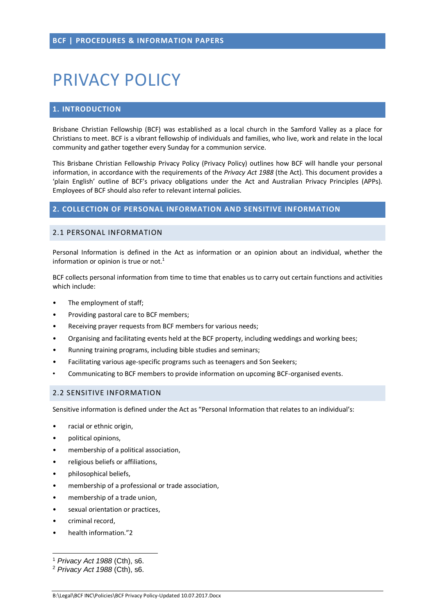# PRIVACY POLICY

## **1. INTRODUCTION**

Brisbane Christian Fellowship (BCF) was established as a local church in the Samford Valley as a place for Christians to meet. BCF is a vibrant fellowship of individuals and families, who live, work and relate in the local community and gather together every Sunday for a communion service.

This Brisbane Christian Fellowship Privacy Policy (Privacy Policy) outlines how BCF will handle your personal information, in accordance with the requirements of the *Privacy Act 1988* (the Act). This document provides a 'plain English' outline of BCF's privacy obligations under the Act and Australian Privacy Principles (APPs). Employees of BCF should also refer to relevant internal policies.

#### **2. COLLECTION OF PERSONAL INFORMATION AND SENSITIVE INFORMATION**

## 2.1 PERSONAL INFORMATION

Personal Information is defined in the Act as information or an opinion about an individual, whether the information or opinion is true or not.<sup>1</sup>

BCF collects personal information from time to time that enables us to carry out certain functions and activities which include:

- The employment of staff;
- Providing pastoral care to BCF members;
- Receiving prayer requests from BCF members for various needs;
- Organising and facilitating events held at the BCF property, including weddings and working bees;
- Running training programs, including bible studies and seminars;
- Facilitating various age-specific programs such as teenagers and Son Seekers;
- Communicating to BCF members to provide information on upcoming BCF-organised events.

#### 2.2 SENSITIVE INFORMATION

Sensitive information is defined under the Act as "Personal Information that relates to an individual's:

- racial or ethnic origin,
- political opinions,
- membership of a political association,
- religious beliefs or affiliations,
- philosophical beliefs,
- membership of a professional or trade association,
- membership of a trade union,
- sexual orientation or practices.
- criminal record,
- health information."2

**<sup>.</sup>** <sup>1</sup> *Privacy Act 1988* (Cth), s6.

<sup>2</sup> *Privacy Act 1988* (Cth), s6.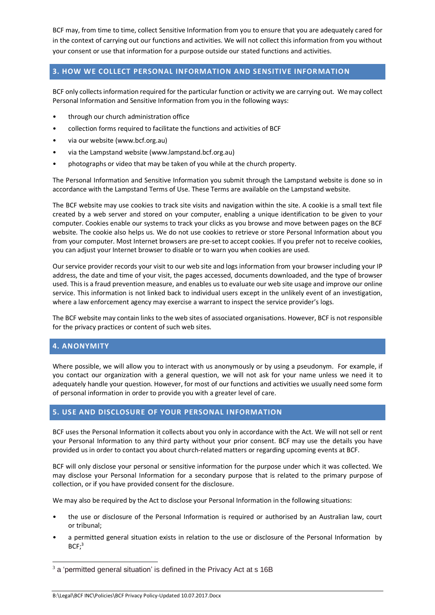BCF may, from time to time, collect Sensitive Information from you to ensure that you are adequately cared for in the context of carrying out our functions and activities. We will not collect this information from you without your consent or use that information for a purpose outside our stated functions and activities.

# **3. HOW WE COLLECT PERSONAL INFORMATION AND SENSITIVE INFORMATION**

BCF only collectsinformation required for the particular function or activity we are carrying out. We may collect Personal Information and Sensitive Information from you in the following ways:

- through our church administration office
- collection forms required to facilitate the functions and activities of BCF
- via our website [\(www.bcf.org.au\)](http://www.bcf.org.au/)
- via the Lampstand website [\(www.lampstand.bcf.org.au\)](http://www.lampstand.bcf.org.au/)
- photographs or video that may be taken of you while at the church property.

The Personal Information and Sensitive Information you submit through the Lampstand website is done so in accordance with the Lampstand Terms of Use. These Terms are available on the Lampstand website.

The BCF website may use cookies to track site visits and navigation within the site. A cookie is a small text file created by a web server and stored on your computer, enabling a unique identification to be given to your computer. Cookies enable our systems to track your clicks as you browse and move between pages on the BCF website. The cookie also helps us. We do not use cookies to retrieve or store Personal Information about you from your computer. Most Internet browsers are pre-set to accept cookies. If you prefer not to receive cookies, you can adjust your Internet browser to disable or to warn you when cookies are used.

Our service provider records your visit to our web site and logs information from your browser including your IP address, the date and time of your visit, the pages accessed, documents downloaded, and the type of browser used. This is a fraud prevention measure, and enables us to evaluate our web site usage and improve our online service. This information is not linked back to individual users except in the unlikely event of an investigation, where a law enforcement agency may exercise a warrant to inspect the service provider's logs.

The BCF website may contain links to the web sites of associated organisations. However, BCF is not responsible for the privacy practices or content of such web sites.

### **4. ANONYMITY**

**.** 

Where possible, we will allow you to interact with us anonymously or by using a pseudonym. For example, if you contact our organization with a general question, we will not ask for your name unless we need it to adequately handle your question. However, for most of our functions and activities we usually need some form of personal information in order to provide you with a greater level of care.

### **5. USE AND DISCLOSURE OF YOUR PERSONAL INFORMATION**

BCF uses the Personal Information it collects about you only in accordance with the Act. We will not sell or rent your Personal Information to any third party without your prior consent. BCF may use the details you have provided us in order to contact you about church-related matters or regarding upcoming events at BCF.

BCF will only disclose your personal or sensitive information for the purpose under which it was collected. We may disclose your Personal Information for a secondary purpose that is related to the primary purpose of collection, or if you have provided consent for the disclosure.

We may also be required by the Act to disclose your Personal Information in the following situations:

- the use or disclosure of the Personal Information is required or authorised by an Australian law, court or tribunal;
- a permitted general situation exists in relation to the use or disclosure of the Personal Information by  $BCF;^{3}$

<sup>&</sup>lt;sup>3</sup> a 'permitted general situation' is defined in the Privacy Act at s 16B